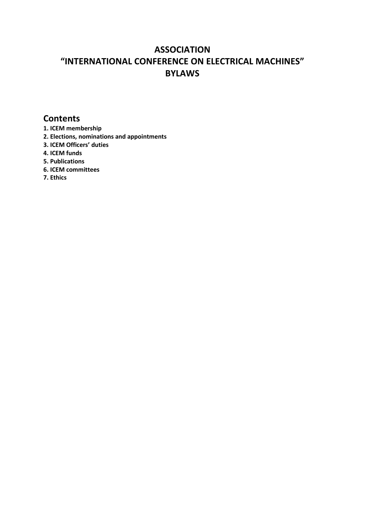# **ASSOCIATION "INTERNATIONAL CONFERENCE ON ELECTRICAL MACHINES" BYLAWS**

# **Contents**

- **1. ICEM membership**
- **2. Elections, nominations and appointments**
- **3. ICEM Officers' duties**
- **4. ICEM funds**
- **5. Publications**
- **6. ICEM committees**
- **7. Ethics**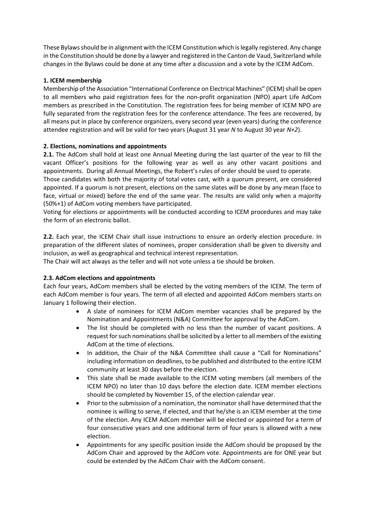These Bylaws should be in alignment with the ICEM Constitution which is legally registered. Any change in the Constitution should be done by a lawyer and registered in the Canton de Vaud, Switzerland while changes in the Bylaws could be done at any time after a discussion and a vote by the ICEM AdCom.

# **1. ICEM membership**

Membership of the Association "International Conference on Electrical Machines" (ICEM) shall be open to all members who paid registration fees for the non-profit organization (NPO) apart Life AdCom members as prescribed in the Constitution. The registration fees for being member of ICEM NPO are fully separated from the registration fees for the conference attendance. The fees are recovered, by all means put in place by conference organizers, every second year (even years) during the conference attendee registration and will be valid for two years (August 31 year *N* to August 30 year *N+2*).

# **2. Elections, nominations and appointments**

**2.1.** The AdCom shall hold at least one Annual Meeting during the last quarter of the year to fill the vacant Officer's positions for the following year as well as any other vacant positions and appointments. During all Annual Meetings, the Robert's rules of order should be used to operate.

Those candidates with both the majority of total votes cast, with a quorum present, are considered appointed. If a quorum is not present, elections on the same slates will be done by any mean (face to face, virtual or mixed) before the end of the same year. The results are valid only when a majority (50%+1) of AdCom voting members have participated.

Voting for elections or appointments will be conducted according to ICEM procedures and may take the form of an electronic ballot.

**2.2.** Each year, the ICEM Chair shall issue instructions to ensure an orderly election procedure. In preparation of the different slates of nominees, proper consideration shall be given to diversity and inclusion, as well as geographical and technical interest representation.

The Chair will act always as the teller and will not vote unless a tie should be broken.

# **2.3. AdCom elections and appointments**

Each four years, AdCom members shall be elected by the voting members of the ICEM. The term of each AdCom member is four years. The term of all elected and appointed AdCom members starts on January 1 following their election.

- A slate of nominees for ICEM AdCom member vacancies shall be prepared by the Nomination and Appointments (N&A) Committee for approval by the AdCom.
- The list should be completed with no less than the number of vacant positions. A request for such nominations shall be solicited by a letter to all members of the existing AdCom at the time of elections.
- In addition, the Chair of the N&A Committee shall cause a "Call for Nominations" including information on deadlines, to be published and distributed to the entire ICEM community at least 30 days before the election.
- This slate shall be made available to the ICEM voting members (all members of the ICEM NPO) no later than 10 days before the election date. ICEM member elections should be completed by November 15, of the election calendar year.
- Prior to the submission of a nomination, the nominator shall have determined that the nominee is willing to serve, if elected, and that he/she is an ICEM member at the time of the election. Any ICEM AdCom member will be elected or appointed for a term of four consecutive years and one additional term of four years is allowed with a new election.
- Appointments for any specific position inside the AdCom should be proposed by the AdCom Chair and approved by the AdCom vote. Appointments are for ONE year but could be extended by the AdCom Chair with the AdCom consent.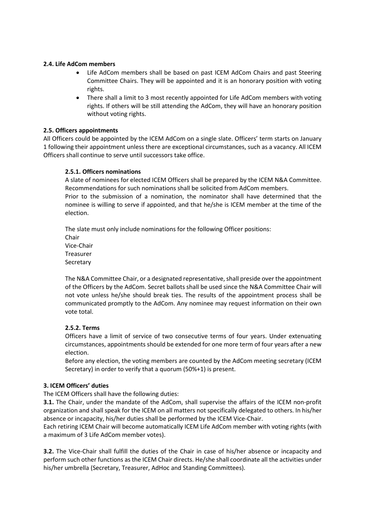#### **2.4. Life AdCom members**

- Life AdCom members shall be based on past ICEM AdCom Chairs and past Steering Committee Chairs. They will be appointed and it is an honorary position with voting rights.
- There shall a limit to 3 most recently appointed for Life AdCom members with voting rights. If others will be still attending the AdCom, they will have an honorary position without voting rights.

#### **2.5. Officers appointments**

All Officers could be appointed by the ICEM AdCom on a single slate. Officers' term starts on January 1 following their appointment unless there are exceptional circumstances, such as a vacancy. All ICEM Officers shall continue to serve until successors take office.

#### **2.5.1. Officers nominations**

A slate of nominees for elected ICEM Officers shall be prepared by the ICEM N&A Committee. Recommendations for such nominations shall be solicited from AdCom members.

Prior to the submission of a nomination, the nominator shall have determined that the nominee is willing to serve if appointed, and that he/she is ICEM member at the time of the election.

The slate must only include nominations for the following Officer positions: Chair Vice-Chair Treasurer Secretary

The N&A Committee Chair, or a designated representative, shall preside over the appointment of the Officers by the AdCom. Secret ballots shall be used since the N&A Committee Chair will not vote unless he/she should break ties. The results of the appointment process shall be communicated promptly to the AdCom. Any nominee may request information on their own vote total.

#### **2.5.2. Terms**

Officers have a limit of service of two consecutive terms of four years. Under extenuating circumstances, appointments should be extended for one more term of four years after a new election.

Before any election, the voting members are counted by the AdCom meeting secretary (ICEM Secretary) in order to verify that a quorum (50%+1) is present.

#### **3. ICEM Officers' duties**

The ICEM Officers shall have the following duties:

**3.1.** The Chair, under the mandate of the AdCom, shall supervise the affairs of the ICEM non-profit organization and shall speak for the ICEM on all matters not specifically delegated to others. In his/her absence or incapacity, his/her duties shall be performed by the ICEM Vice-Chair.

Each retiring ICEM Chair will become automatically ICEM Life AdCom member with voting rights (with a maximum of 3 Life AdCom member votes).

**3.2.** The Vice-Chair shall fulfill the duties of the Chair in case of his/her absence or incapacity and perform such other functions as the ICEM Chair directs. He/she shall coordinate all the activities under his/her umbrella (Secretary, Treasurer, AdHoc and Standing Committees).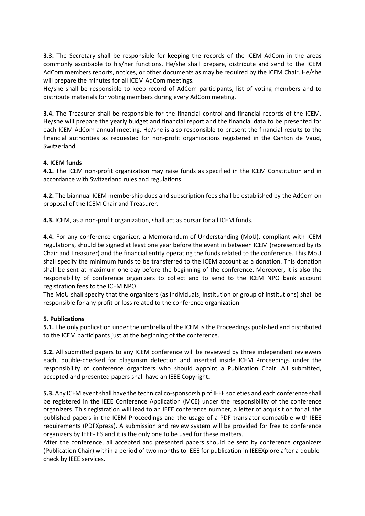**3.3.** The Secretary shall be responsible for keeping the records of the ICEM AdCom in the areas commonly ascribable to his/her functions. He/she shall prepare, distribute and send to the ICEM AdCom members reports, notices, or other documents as may be required by the ICEM Chair. He/she will prepare the minutes for all ICEM AdCom meetings.

He/she shall be responsible to keep record of AdCom participants, list of voting members and to distribute materials for voting members during every AdCom meeting.

**3.4.** The Treasurer shall be responsible for the financial control and financial records of the ICEM. He/she will prepare the yearly budget and financial report and the financial data to be presented for each ICEM AdCom annual meeting. He/she is also responsible to present the financial results to the financial authorities as requested for non-profit organizations registered in the Canton de Vaud, Switzerland.

#### **4. ICEM funds**

**4.1.** The ICEM non-profit organization may raise funds as specified in the ICEM Constitution and in accordance with Switzerland rules and regulations.

**4.2.** The biannual ICEM membership dues and subscription fees shall be established by the AdCom on proposal of the ICEM Chair and Treasurer.

**4.3.** ICEM, as a non-profit organization, shall act as bursar for all ICEM funds.

**4.4.** For any conference organizer, a Memorandum-of-Understanding (MoU), compliant with ICEM regulations, should be signed at least one year before the event in between ICEM (represented by its Chair and Treasurer) and the financial entity operating the funds related to the conference. This MoU shall specify the minimum funds to be transferred to the ICEM account as a donation. This donation shall be sent at maximum one day before the beginning of the conference. Moreover, it is also the responsibility of conference organizers to collect and to send to the ICEM NPO bank account registration fees to the ICEM NPO.

The MoU shall specify that the organizers (as individuals, institution or group of institutions) shall be responsible for any profit or loss related to the conference organization.

#### **5. Publications**

**5.1.** The only publication under the umbrella of the ICEM is the Proceedings published and distributed to the ICEM participants just at the beginning of the conference.

**5.2.** All submitted papers to any ICEM conference will be reviewed by three independent reviewers each, double-checked for plagiarism detection and inserted inside ICEM Proceedings under the responsibility of conference organizers who should appoint a Publication Chair. All submitted, accepted and presented papers shall have an IEEE Copyright.

**5.3.** Any ICEM event shall have the technical co-sponsorship of IEEE societies and each conference shall be registered in the IEEE Conference Application (MCE) under the responsibility of the conference organizers. This registration will lead to an IEEE conference number, a letter of acquisition for all the published papers in the ICEM Proceedings and the usage of a PDF translator compatible with IEEE requirements (PDFXpress). A submission and review system will be provided for free to conference organizers by IEEE-IES and it is the only one to be used for these matters.

After the conference, all accepted and presented papers should be sent by conference organizers (Publication Chair) within a period of two months to IEEE for publication in IEEEXplore after a doublecheck by IEEE services.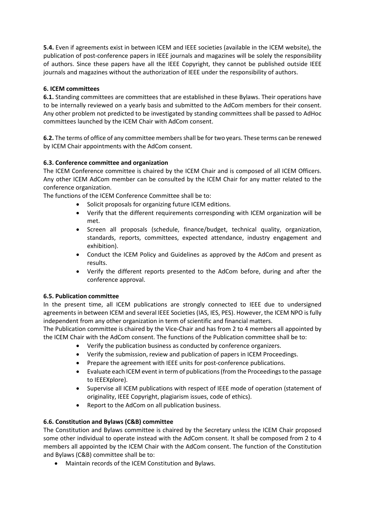**5.4.** Even if agreements exist in between ICEM and IEEE societies (available in the ICEM website), the publication of post-conference papers in IEEE journals and magazines will be solely the responsibility of authors. Since these papers have all the IEEE Copyright, they cannot be published outside IEEE journals and magazines without the authorization of IEEE under the responsibility of authors.

# **6. ICEM committees**

**6.1.** Standing committees are committees that are established in these Bylaws. Their operations have to be internally reviewed on a yearly basis and submitted to the AdCom members for their consent. Any other problem not predicted to be investigated by standing committees shall be passed to AdHoc committees launched by the ICEM Chair with AdCom consent.

**6.2.** The terms of office of any committee members shall be fortwo years. These terms can be renewed by ICEM Chair appointments with the AdCom consent.

# **6.3. Conference committee and organization**

The ICEM Conference committee is chaired by the ICEM Chair and is composed of all ICEM Officers. Any other ICEM AdCom member can be consulted by the ICEM Chair for any matter related to the conference organization.

The functions of the ICEM Conference Committee shall be to:

- Solicit proposals for organizing future ICEM editions.
- Verify that the different requirements corresponding with ICEM organization will be met.
- Screen all proposals (schedule, finance/budget, technical quality, organization, standards, reports, committees, expected attendance, industry engagement and exhibition).
- Conduct the ICEM Policy and Guidelines as approved by the AdCom and present as results.
- Verify the different reports presented to the AdCom before, during and after the conference approval.

# **6.5. Publication committee**

In the present time, all ICEM publications are strongly connected to IEEE due to undersigned agreements in between ICEM and several IEEE Societies (IAS, IES, PES). However, the ICEM NPO is fully independent from any other organization in term of scientific and financial matters.

The Publication committee is chaired by the Vice-Chair and has from 2 to 4 members all appointed by the ICEM Chair with the AdCom consent. The functions of the Publication committee shall be to:

- Verify the publication business as conducted by conference organizers.
- Verify the submission, review and publication of papers in ICEM Proceedings.
- Prepare the agreement with IEEE units for post-conference publications.
- Evaluate each ICEM event in term of publications (from the Proceedings to the passage to IEEEXplore).
- Supervise all ICEM publications with respect of IEEE mode of operation (statement of originality, IEEE Copyright, plagiarism issues, code of ethics).
- Report to the AdCom on all publication business.

# **6.6. Constitution and Bylaws (C&B) committee**

The Constitution and Bylaws committee is chaired by the Secretary unless the ICEM Chair proposed some other individual to operate instead with the AdCom consent. It shall be composed from 2 to 4 members all appointed by the ICEM Chair with the AdCom consent. The function of the Constitution and Bylaws (C&B) committee shall be to:

• Maintain records of the ICEM Constitution and Bylaws.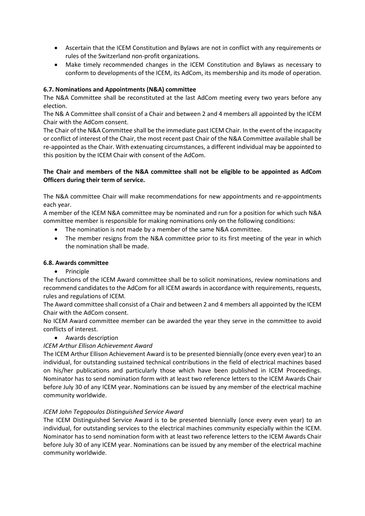- Ascertain that the ICEM Constitution and Bylaws are not in conflict with any requirements or rules of the Switzerland non-profit organizations.
- Make timely recommended changes in the ICEM Constitution and Bylaws as necessary to conform to developments of the ICEM, its AdCom, its membership and its mode of operation.

# **6.7. Nominations and Appointments (N&A) committee**

The N&A Committee shall be reconstituted at the last AdCom meeting every two years before any election.

The N& A Committee shall consist of a Chair and between 2 and 4 members all appointed by the ICEM Chair with the AdCom consent.

The Chair of the N&A Committee shall be the immediate past ICEM Chair. In the event of the incapacity or conflict of interest of the Chair, the most recent past Chair of the N&A Committee available shall be re-appointed as the Chair. With extenuating circumstances, a different individual may be appointed to this position by the ICEM Chair with consent of the AdCom.

# **The Chair and members of the N&A committee shall not be eligible to be appointed as AdCom Officers during their term of service.**

The N&A committee Chair will make recommendations for new appointments and re-appointments each year.

A member of the ICEM N&A committee may be nominated and run for a position for which such N&A committee member is responsible for making nominations only on the following conditions:

- The nomination is not made by a member of the same N&A committee.
- The member resigns from the N&A committee prior to its first meeting of the year in which the nomination shall be made.

# **6.8. Awards committee**

• Principle

The functions of the ICEM Award committee shall be to solicit nominations, review nominations and recommend candidates to the AdCom for all ICEM awards in accordance with requirements, requests, rules and regulations of ICEM.

The Award committee shall consist of a Chair and between 2 and 4 members all appointed by the ICEM Chair with the AdCom consent.

No ICEM Award committee member can be awarded the year they serve in the committee to avoid conflicts of interest.

# • Awards description

# *ICEM Arthur Ellison Achievement Award*

The ICEM Arthur Ellison Achievement Award is to be presented biennially (once every even year) to an individual, for outstanding sustained technical contributions in the field of electrical machines based on his/her publications and particularly those which have been published in ICEM Proceedings. Nominator has to send nomination form with at least two reference letters to the ICEM Awards Chair before July 30 of any ICEM year. Nominations can be issued by any member of the electrical machine community worldwide.

# *ICEM John Tegopoulos Distinguished Service Award*

The ICEM Distinguished Service Award is to be presented biennially (once every even year) to an individual, for outstanding services to the electrical machines community especially within the ICEM. Nominator has to send nomination form with at least two reference letters to the ICEM Awards Chair before July 30 of any ICEM year. Nominations can be issued by any member of the electrical machine community worldwide.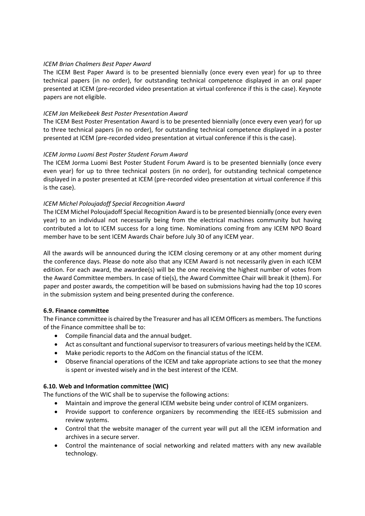#### *ICEM Brian Chalmers Best Paper Award*

The ICEM Best Paper Award is to be presented biennially (once every even year) for up to three technical papers (in no order), for outstanding technical competence displayed in an oral paper presented at ICEM (pre-recorded video presentation at virtual conference if this is the case). Keynote papers are not eligible.

#### *ICEM Jan Melkebeek Best Poster Presentation Award*

The ICEM Best Poster Presentation Award is to be presented biennially (once every even year) for up to three technical papers (in no order), for outstanding technical competence displayed in a poster presented at ICEM (pre-recorded video presentation at virtual conference if this is the case).

#### *ICEM Jorma Luomi Best Poster Student Forum Award*

The ICEM Jorma Luomi Best Poster Student Forum Award is to be presented biennially (once every even year) for up to three technical posters (in no order), for outstanding technical competence displayed in a poster presented at ICEM (pre-recorded video presentation at virtual conference if this is the case).

#### *ICEM Michel Poloujadoff Special Recognition Award*

The ICEM Michel Poloujadoff Special Recognition Award is to be presented biennially (once every even year) to an individual not necessarily being from the electrical machines community but having contributed a lot to ICEM success for a long time. Nominations coming from any ICEM NPO Board member have to be sent ICEM Awards Chair before July 30 of any ICEM year.

All the awards will be announced during the ICEM closing ceremony or at any other moment during the conference days. Please do note also that any ICEM Award is not necessarily given in each ICEM edition. For each award, the awardee(s) will be the one receiving the highest number of votes from the Award Committee members. In case of tie(s), the Award Committee Chair will break it (them). For paper and poster awards, the competition will be based on submissions having had the top 10 scores in the submission system and being presented during the conference.

#### **6.9. Finance committee**

The Finance committee is chaired by the Treasurer and has all ICEM Officers as members. The functions of the Finance committee shall be to:

- Compile financial data and the annual budget.
- Act as consultant and functional supervisor to treasurers of various meetings held by the ICEM.
- Make periodic reports to the AdCom on the financial status of the ICEM.
- Observe financial operations of the ICEM and take appropriate actions to see that the money is spent or invested wisely and in the best interest of the ICEM.

#### **6.10. Web and Information committee (WIC)**

The functions of the WIC shall be to supervise the following actions:

- Maintain and improve the general ICEM website being under control of ICEM organizers.
- Provide support to conference organizers by recommending the IEEE-IES submission and review systems.
- Control that the website manager of the current year will put all the ICEM information and archives in a secure server.
- Control the maintenance of social networking and related matters with any new available technology.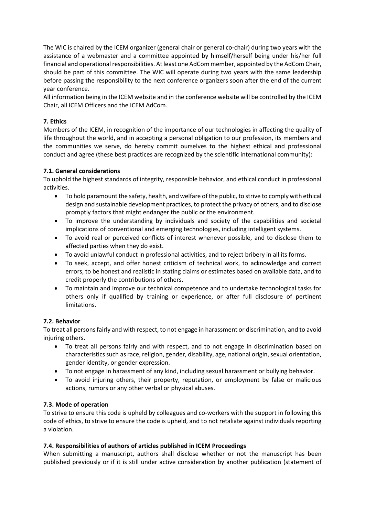The WIC is chaired by the ICEM organizer (general chair or general co-chair) during two years with the assistance of a webmaster and a committee appointed by himself/herself being under his/her full financial and operational responsibilities. At least one AdCom member, appointed by the AdCom Chair, should be part of this committee. The WIC will operate during two years with the same leadership before passing the responsibility to the next conference organizers soon after the end of the current year conference.

All information being in the ICEM website and in the conference website will be controlled by the ICEM Chair, all ICEM Officers and the ICEM AdCom.

#### **7. Ethics**

Members of the ICEM, in recognition of the importance of our technologies in affecting the quality of life throughout the world, and in accepting a personal obligation to our profession, its members and the communities we serve, do hereby commit ourselves to the highest ethical and professional conduct and agree (these best practices are recognized by the scientific international community):

#### **7.1. General considerations**

To uphold the highest standards of integrity, responsible behavior, and ethical conduct in professional activities.

- To hold paramount the safety, health, and welfare of the public, to strive to comply with ethical design and sustainable development practices, to protect the privacy of others, and to disclose promptly factors that might endanger the public or the environment.
- To improve the understanding by individuals and society of the capabilities and societal implications of conventional and emerging technologies, including intelligent systems.
- To avoid real or perceived conflicts of interest whenever possible, and to disclose them to affected parties when they do exist.
- To avoid unlawful conduct in professional activities, and to reject bribery in all its forms.
- To seek, accept, and offer honest criticism of technical work, to acknowledge and correct errors, to be honest and realistic in stating claims or estimates based on available data, and to credit properly the contributions of others.
- To maintain and improve our technical competence and to undertake technological tasks for others only if qualified by training or experience, or after full disclosure of pertinent limitations.

# **7.2. Behavior**

To treat all persons fairly and with respect, to not engage in harassment or discrimination, and to avoid injuring others.

- To treat all persons fairly and with respect, and to not engage in discrimination based on characteristics such as race, religion, gender, disability, age, national origin, sexual orientation, gender identity, or gender expression.
- To not engage in harassment of any kind, including sexual harassment or bullying behavior.
- To avoid injuring others, their property, reputation, or employment by false or malicious actions, rumors or any other verbal or physical abuses.

#### **7.3. Mode of operation**

To strive to ensure this code is upheld by colleagues and co-workers with the support in following this code of ethics, to strive to ensure the code is upheld, and to not retaliate against individuals reporting a violation.

#### **7.4. Responsibilities of authors of articles published in ICEM Proceedings**

When submitting a manuscript, authors shall disclose whether or not the manuscript has been published previously or if it is still under active consideration by another publication (statement of